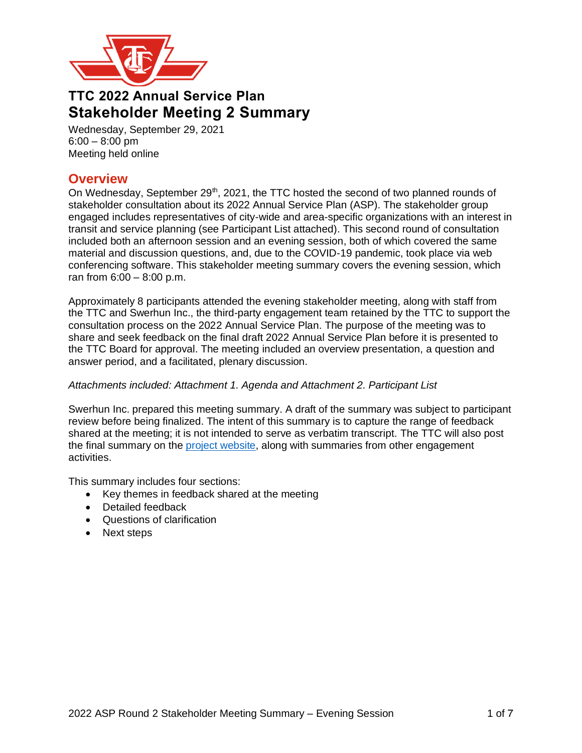

# **TTC 2022 Annual Service Plan Stakeholder Meeting 2 Summary**

Wednesday, September 29, 2021  $6:00 - 8:00$  pm Meeting held online

## **Overview**

On Wednesday, September  $29<sup>th</sup>$ , 2021, the TTC hosted the second of two planned rounds of stakeholder consultation about its 2022 Annual Service Plan (ASP). The stakeholder group engaged includes representatives of city-wide and area-specific organizations with an interest in transit and service planning (see Participant List attached). This second round of consultation included both an afternoon session and an evening session, both of which covered the same material and discussion questions, and, due to the COVID-19 pandemic, took place via web conferencing software. This stakeholder meeting summary covers the evening session, which ran from 6:00 – 8:00 p.m.

Approximately 8 participants attended the evening stakeholder meeting, along with staff from the TTC and Swerhun Inc., the third-party engagement team retained by the TTC to support the consultation process on the 2022 Annual Service Plan. The purpose of the meeting was to share and seek feedback on the final draft 2022 Annual Service Plan before it is presented to the TTC Board for approval. The meeting included an overview presentation, a question and answer period, and a facilitated, plenary discussion.

### *Attachments included: Attachment 1. Agenda and Attachment 2. Participant List*

Swerhun Inc. prepared this meeting summary. A draft of the summary was subject to participant review before being finalized. The intent of this summary is to capture the range of feedback shared at the meeting; it is not intended to serve as verbatim transcript. The TTC will also post the final summary on the [project website,](https://www.ttc.ca/about-the-ttc/projects-and-plans/2022-Annual-Service-Plan) along with summaries from other engagement activities.

This summary includes four sections:

- Key themes in feedback shared at the meeting
- Detailed feedback
- Questions of clarification
- Next steps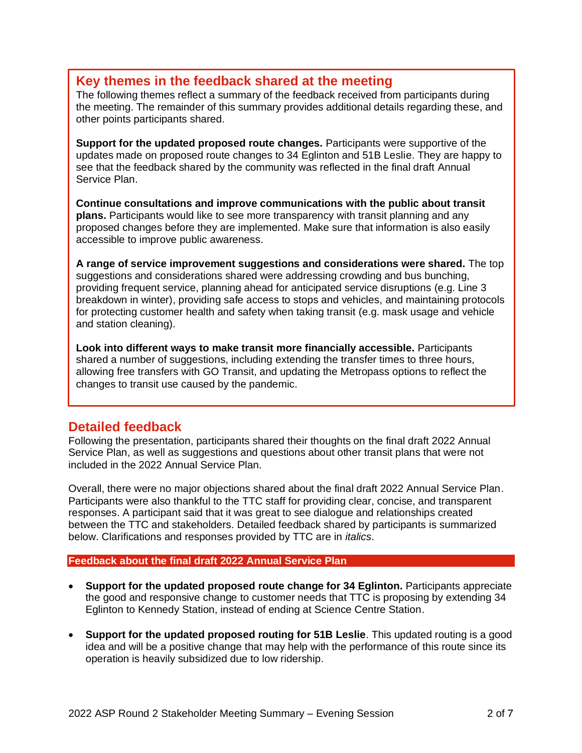## **Key themes in the feedback shared at the meeting**

The following themes reflect a summary of the feedback received from participants during the meeting. The remainder of this summary provides additional details regarding these, and other points participants shared.

**Support for the updated proposed route changes.** Participants were supportive of the updates made on proposed route changes to 34 Eglinton and 51B Leslie. They are happy to see that the feedback shared by the community was reflected in the final draft Annual Service Plan.

**Continue consultations and improve communications with the public about transit plans.** Participants would like to see more transparency with transit planning and any proposed changes before they are implemented. Make sure that information is also easily accessible to improve public awareness.

**A range of service improvement suggestions and considerations were shared.** The top suggestions and considerations shared were addressing crowding and bus bunching, providing frequent service, planning ahead for anticipated service disruptions (e.g. Line 3 breakdown in winter), providing safe access to stops and vehicles, and maintaining protocols for protecting customer health and safety when taking transit (e.g. mask usage and vehicle and station cleaning).

**Look into different ways to make transit more financially accessible.** Participants shared a number of suggestions, including extending the transfer times to three hours, allowing free transfers with GO Transit, and updating the Metropass options to reflect the changes to transit use caused by the pandemic.

## **Detailed feedback**

Following the presentation, participants shared their thoughts on the final draft 2022 Annual Service Plan, as well as suggestions and questions about other transit plans that were not included in the 2022 Annual Service Plan.

Overall, there were no major objections shared about the final draft 2022 Annual Service Plan. Participants were also thankful to the TTC staff for providing clear, concise, and transparent responses. A participant said that it was great to see dialogue and relationships created between the TTC and stakeholders. Detailed feedback shared by participants is summarized below. Clarifications and responses provided by TTC are in *italics*.

### **Feedback about the final draft 2022 Annual Service Plan**

- Support for the updated proposed route change for 34 Eglinton. Participants appreciate the good and responsive change to customer needs that TTC is proposing by extending 34 Eglinton to Kennedy Station, instead of ending at Science Centre Station.
- **Support for the updated proposed routing for 51B Leslie**. This updated routing is a good idea and will be a positive change that may help with the performance of this route since its operation is heavily subsidized due to low ridership.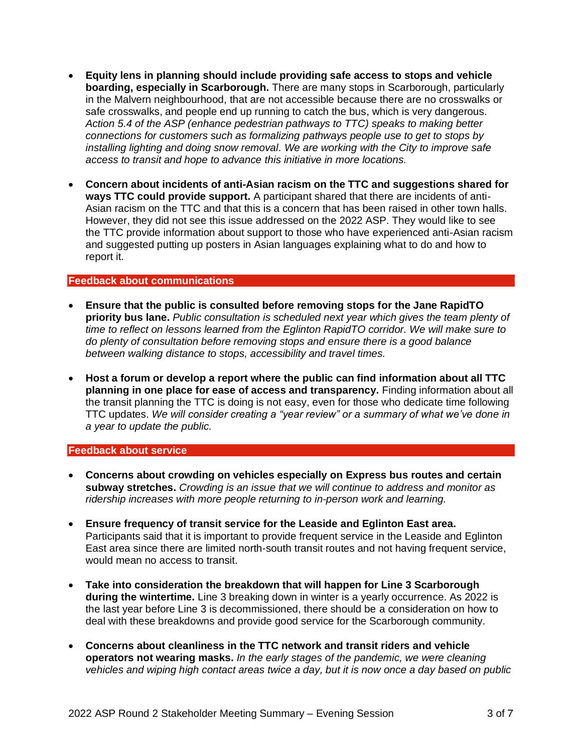- **Equity lens in planning should include providing safe access to stops and vehicle boarding, especially in Scarborough.** There are many stops in Scarborough, particularly in the Malvern neighbourhood, that are not accessible because there are no crosswalks or safe crosswalks, and people end up running to catch the bus, which is very dangerous. *Action 5.4 of the ASP (enhance pedestrian pathways to TTC) speaks to making better connections for customers such as formalizing pathways people use to get to stops by installing lighting and doing snow removal. We are working with the City to improve safe access to transit and hope to advance this initiative in more locations.*
- **Concern about incidents of anti-Asian racism on the TTC and suggestions shared for ways TTC could provide support.** A participant shared that there are incidents of anti-Asian racism on the TTC and that this is a concern that has been raised in other town halls. However, they did not see this issue addressed on the 2022 ASP. They would like to see the TTC provide information about support to those who have experienced anti-Asian racism and suggested putting up posters in Asian languages explaining what to do and how to report it.

#### **Feedback about communications**

- **Ensure that the public is consulted before removing stops for the Jane RapidTO priority bus lane.** *Public consultation is scheduled next year which gives the team plenty of time to reflect on lessons learned from the Eglinton RapidTO corridor. We will make sure to do plenty of consultation before removing stops and ensure there is a good balance between walking distance to stops, accessibility and travel times.*
- **Host a forum or develop a report where the public can find information about all TTC planning in one place for ease of access and transparency.** Finding information about all the transit planning the TTC is doing is not easy, even for those who dedicate time following TTC updates. *We will consider creating a "year review" or a summary of what we've done in a year to update the public.*

#### **Feedback about service**

- **Concerns about crowding on vehicles especially on Express bus routes and certain subway stretches.** *Crowding is an issue that we will continue to address and monitor as ridership increases with more people returning to in-person work and learning.*
- **Ensure frequency of transit service for the Leaside and Eglinton East area.** Participants said that it is important to provide frequent service in the Leaside and Eglinton East area since there are limited north-south transit routes and not having frequent service, would mean no access to transit.
- **Take into consideration the breakdown that will happen for Line 3 Scarborough during the wintertime.** Line 3 breaking down in winter is a yearly occurrence. As 2022 is the last year before Line 3 is decommissioned, there should be a consideration on how to deal with these breakdowns and provide good service for the Scarborough community.
- **Concerns about cleanliness in the TTC network and transit riders and vehicle operators not wearing masks.** *In the early stages of the pandemic, we were cleaning vehicles and wiping high contact areas twice a day, but it is now once a day based on public*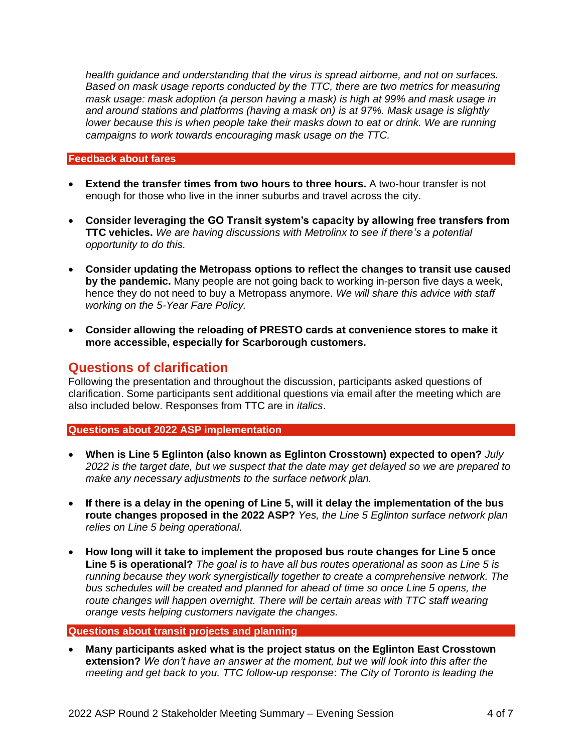*health guidance and understanding that the virus is spread airborne, and not on surfaces. Based on mask usage reports conducted by the TTC, there are two metrics for measuring mask usage: mask adoption (a person having a mask) is high at 99% and mask usage in and around stations and platforms (having a mask on) is at 97%. Mask usage is slightly lower because this is when people take their masks down to eat or drink. We are running campaigns to work towards encouraging mask usage on the TTC.*

#### **Feedback about fares**

- **Extend the transfer times from two hours to three hours.** A two-hour transfer is not enough for those who live in the inner suburbs and travel across the city.
- **Consider leveraging the GO Transit system's capacity by allowing free transfers from TTC vehicles.** *We are having discussions with Metrolinx to see if there's a potential opportunity to do this.*
- **Consider updating the Metropass options to reflect the changes to transit use caused by the pandemic.** Many people are not going back to working in-person five days a week, hence they do not need to buy a Metropass anymore. *We will share this advice with staff working on the 5-Year Fare Policy.*
- **Consider allowing the reloading of PRESTO cards at convenience stores to make it more accessible, especially for Scarborough customers.**

## **Questions of clarification**

Following the presentation and throughout the discussion, participants asked questions of clarification. Some participants sent additional questions via email after the meeting which are also included below. Responses from TTC are in *italics*.

### **Questions about 2022 ASP implementation**

- **When is Line 5 Eglinton (also known as Eglinton Crosstown) expected to open?** *July 2022 is the target date, but we suspect that the date may get delayed so we are prepared to make any necessary adjustments to the surface network plan.*
- **If there is a delay in the opening of Line 5, will it delay the implementation of the bus route changes proposed in the 2022 ASP?** *Yes, the Line 5 Eglinton surface network plan relies on Line 5 being operational.*
- **How long will it take to implement the proposed bus route changes for Line 5 once Line 5 is operational?** *The goal is to have all bus routes operational as soon as Line 5 is running because they work synergistically together to create a comprehensive network. The bus schedules will be created and planned for ahead of time so once Line 5 opens, the route changes will happen overnight. There will be certain areas with TTC staff wearing orange vests helping customers navigate the changes.*

### **Questions about transit projects and planning**

• **Many participants asked what is the project status on the Eglinton East Crosstown extension?** *We don't have an answer at the moment, but we will look into this after the meeting and get back to you. TTC follow-up response*: *The City of Toronto is leading the*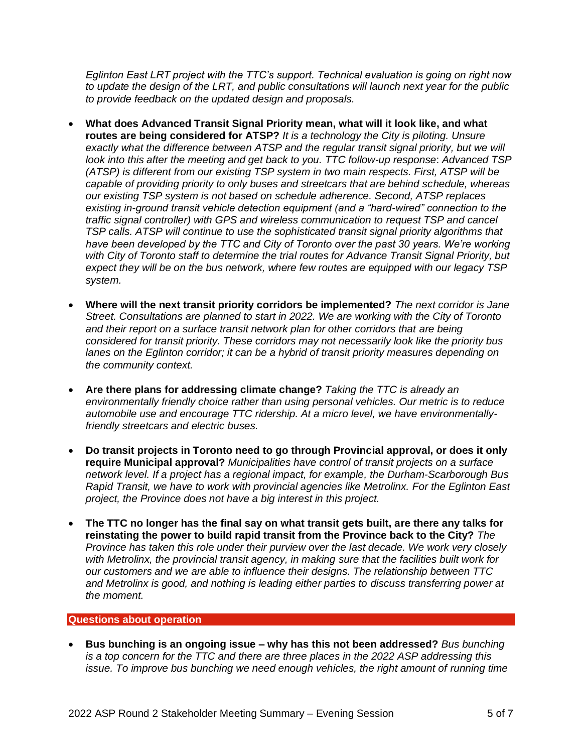*Eglinton East LRT project with the TTC's support. Technical evaluation is going on right now to update the design of the LRT, and public consultations will launch next year for the public to provide feedback on the updated design and proposals.*

- **What does Advanced Transit Signal Priority mean, what will it look like, and what routes are being considered for ATSP?** *It is a technology the City is piloting. Unsure* exactly what the difference between ATSP and the regular transit signal priority, but we will *look into this after the meeting and get back to you. TTC follow-up response*: *Advanced TSP (ATSP) is different from our existing TSP system in two main respects. First, ATSP will be capable of providing priority to only buses and streetcars that are behind schedule, whereas our existing TSP system is not based on schedule adherence. Second, ATSP replaces existing in-ground transit vehicle detection equipment (and a "hard-wired" connection to the traffic signal controller) with GPS and wireless communication to request TSP and cancel TSP calls. ATSP will continue to use the sophisticated transit signal priority algorithms that have been developed by the TTC and City of Toronto over the past 30 years. We're working with City of Toronto staff to determine the trial routes for Advance Transit Signal Priority, but expect they will be on the bus network, where few routes are equipped with our legacy TSP system.*
- **Where will the next transit priority corridors be implemented?** *The next corridor is Jane Street. Consultations are planned to start in 2022. We are working with the City of Toronto* and their report on a surface transit network plan for other corridors that are being *considered for transit priority. These corridors may not necessarily look like the priority bus lanes on the Eglinton corridor; it can be a hybrid of transit priority measures depending on the community context.*
- **Are there plans for addressing climate change?** *Taking the TTC is already an environmentally friendly choice rather than using personal vehicles. Our metric is to reduce automobile use and encourage TTC ridership. At a micro level, we have environmentallyfriendly streetcars and electric buses.*
- **Do transit projects in Toronto need to go through Provincial approval, or does it only require Municipal approval?** *Municipalities have control of transit projects on a surface network level. If a project has a regional impact, for example, the Durham-Scarborough Bus Rapid Transit, we have to work with provincial agencies like Metrolinx. For the Eglinton East project, the Province does not have a big interest in this project.*
- **The TTC no longer has the final say on what transit gets built, are there any talks for reinstating the power to build rapid transit from the Province back to the City?** *The Province has taken this role under their purview over the last decade. We work very closely with Metrolinx, the provincial transit agency, in making sure that the facilities built work for our customers and we are able to influence their designs. The relationship between TTC and Metrolinx is good, and nothing is leading either parties to discuss transferring power at the moment.*

#### **Questions about operation**

• **Bus bunching is an ongoing issue – why has this not been addressed?** *Bus bunching is a top concern for the TTC and there are three places in the 2022 ASP addressing this issue. To improve bus bunching we need enough vehicles, the right amount of running time*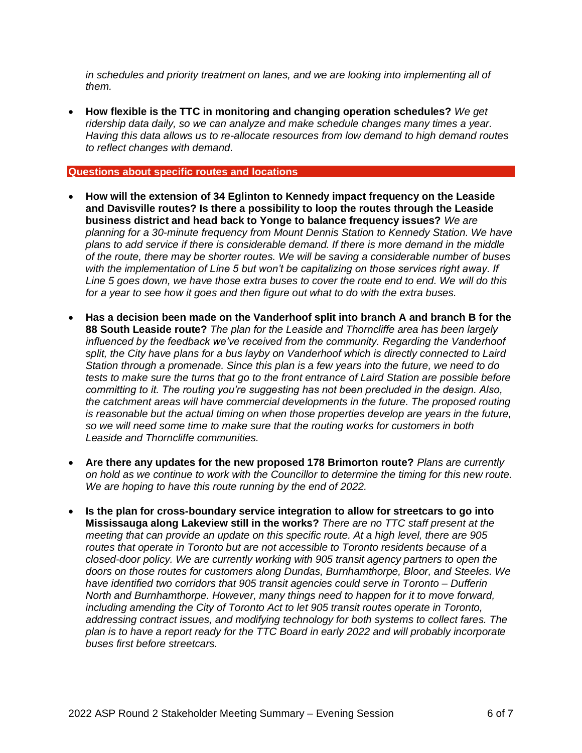*in schedules and priority treatment on lanes, and we are looking into implementing all of them.* 

• **How flexible is the TTC in monitoring and changing operation schedules?** *We get ridership data daily, so we can analyze and make schedule changes many times a year. Having this data allows us to re-allocate resources from low demand to high demand routes to reflect changes with demand.*

#### **Questions about specific routes and locations**

- **How will the extension of 34 Eglinton to Kennedy impact frequency on the Leaside and Davisville routes? Is there a possibility to loop the routes through the Leaside business district and head back to Yonge to balance frequency issues?** *We are planning for a 30-minute frequency from Mount Dennis Station to Kennedy Station. We have plans to add service if there is considerable demand. If there is more demand in the middle of the route, there may be shorter routes. We will be saving a considerable number of buses with the implementation of Line 5 but won't be capitalizing on those services right away. If Line 5 goes down, we have those extra buses to cover the route end to end. We will do this for a year to see how it goes and then figure out what to do with the extra buses.*
- **Has a decision been made on the Vanderhoof split into branch A and branch B for the 88 South Leaside route?** *The plan for the Leaside and Thorncliffe area has been largely influenced by the feedback we've received from the community. Regarding the Vanderhoof split, the City have plans for a bus layby on Vanderhoof which is directly connected to Laird Station through a promenade. Since this plan is a few years into the future, we need to do tests to make sure the turns that go to the front entrance of Laird Station are possible before committing to it. The routing you're suggesting has not been precluded in the design. Also, the catchment areas will have commercial developments in the future. The proposed routing is reasonable but the actual timing on when those properties develop are years in the future, so we will need some time to make sure that the routing works for customers in both Leaside and Thorncliffe communities.*
- **Are there any updates for the new proposed 178 Brimorton route?** *Plans are currently on hold as we continue to work with the Councillor to determine the timing for this new route. We are hoping to have this route running by the end of 2022.*
- **Is the plan for cross-boundary service integration to allow for streetcars to go into Mississauga along Lakeview still in the works?** *There are no TTC staff present at the meeting that can provide an update on this specific route. At a high level, there are 905 routes that operate in Toronto but are not accessible to Toronto residents because of a closed-door policy. We are currently working with 905 transit agency partners to open the doors on those routes for customers along Dundas, Burnhamthorpe, Bloor, and Steeles. We have identified two corridors that 905 transit agencies could serve in Toronto – Dufferin North and Burnhamthorpe. However, many things need to happen for it to move forward, including amending the City of Toronto Act to let 905 transit routes operate in Toronto, addressing contract issues, and modifying technology for both systems to collect fares. The plan is to have a report ready for the TTC Board in early 2022 and will probably incorporate buses first before streetcars.*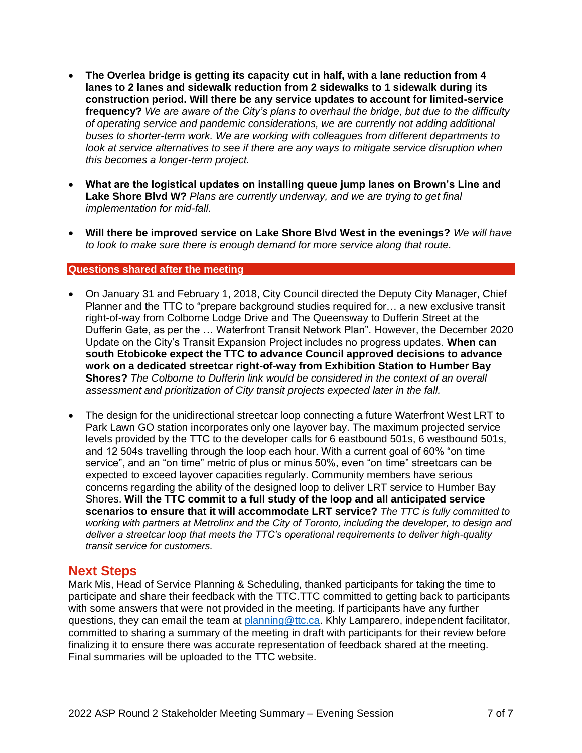- **The Overlea bridge is getting its capacity cut in half, with a lane reduction from 4 lanes to 2 lanes and sidewalk reduction from 2 sidewalks to 1 sidewalk during its construction period. Will there be any service updates to account for limited-service frequency?** *We are aware of the City's plans to overhaul the bridge, but due to the difficulty of operating service and pandemic considerations, we are currently not adding additional buses to shorter-term work. We are working with colleagues from different departments to look at service alternatives to see if there are any ways to mitigate service disruption when this becomes a longer-term project.*
- **What are the logistical updates on installing queue jump lanes on Brown's Line and Lake Shore Blvd W?** *Plans are currently underway, and we are trying to get final implementation for mid-fall.*
- **Will there be improved service on Lake Shore Blvd West in the evenings?** *We will have to look to make sure there is enough demand for more service along that route.*

#### **Questions shared after the meeting**

- On January 31 and February 1, 2018, City Council directed the Deputy City Manager, Chief Planner and the TTC to "prepare background studies required for... a new exclusive transit right-of-way from Colborne Lodge Drive and The Queensway to Dufferin Street at the Dufferin Gate, as per the … Waterfront Transit Network Plan". However, the December 2020 Update on the City's Transit Expansion Project includes no progress updates. **When can south Etobicoke expect the TTC to advance Council approved decisions to advance work on a dedicated streetcar right-of-way from Exhibition Station to Humber Bay Shores?** *The Colborne to Dufferin link would be considered in the context of an overall assessment and prioritization of City transit projects expected later in the fall.*
- The design for the unidirectional streetcar loop connecting a future Waterfront West LRT to Park Lawn GO station incorporates only one layover bay. The maximum projected service levels provided by the TTC to the developer calls for 6 eastbound 501s, 6 westbound 501s, and 12 504s travelling through the loop each hour. With a current goal of 60% "on time service", and an "on time" metric of plus or minus 50%, even "on time" streetcars can be expected to exceed layover capacities regularly. Community members have serious concerns regarding the ability of the designed loop to deliver LRT service to Humber Bay Shores. **Will the TTC commit to a full study of the loop and all anticipated service scenarios to ensure that it will accommodate LRT service?** *The TTC is fully committed to working with partners at Metrolinx and the City of Toronto, including the developer, to design and deliver a streetcar loop that meets the TTC's operational requirements to deliver high-quality transit service for customers.*

## **Next Steps**

Mark Mis, Head of Service Planning & Scheduling, thanked participants for taking the time to participate and share their feedback with the TTC.TTC committed to getting back to participants with some answers that were not provided in the meeting. If participants have any further questions, they can email the team at [planning@ttc.ca.](mailto:planning@ttc.ca) Khly Lamparero, independent facilitator, committed to sharing a summary of the meeting in draft with participants for their review before finalizing it to ensure there was accurate representation of feedback shared at the meeting. Final summaries will be uploaded to the TTC website.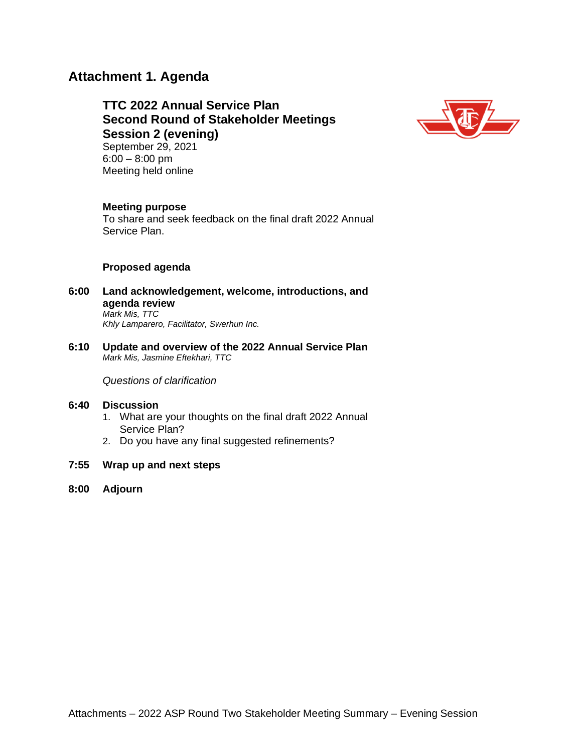## **Attachment 1. Agenda**

# **TTC 2022 Annual Service Plan Second Round of Stakeholder Meetings Session 2 (evening)**



September 29, 2021 6:00 – 8:00 pm Meeting held online

#### **Meeting purpose**

To share and seek feedback on the final draft 2022 Annual Service Plan.

#### **Proposed agenda**

- **6:00 Land acknowledgement, welcome, introductions, and agenda review** *Mark Mis, TTC Khly Lamparero, Facilitator, Swerhun Inc.*
- **6:10 Update and overview of the 2022 Annual Service Plan** *Mark Mis, Jasmine Eftekhari, TTC*

*Questions of clarification*

#### **6:40 Discussion**

- 1. What are your thoughts on the final draft 2022 Annual Service Plan?
- 2. Do you have any final suggested refinements?
- **7:55 Wrap up and next steps**
- **8:00 Adjourn**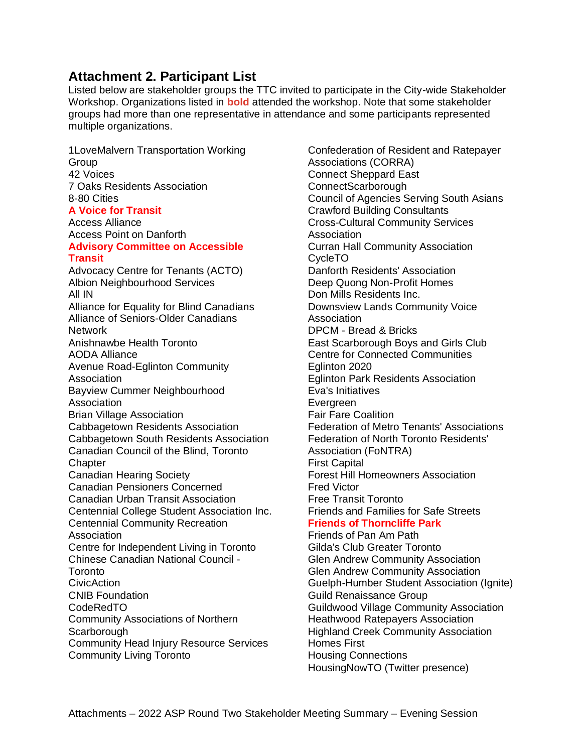## **Attachment 2. Participant List**

Listed below are stakeholder groups the TTC invited to participate in the City-wide Stakeholder Workshop. Organizations listed in **bold** attended the workshop. Note that some stakeholder groups had more than one representative in attendance and some participants represented multiple organizations.

1LoveMalvern Transportation Working Group 42 Voices 7 Oaks Residents Association 8-80 Cities **A Voice for Transit** Access Alliance Access Point on Danforth **Advisory Committee on Accessible Transit**  Advocacy Centre for Tenants (ACTO) Albion Neighbourhood Services All IN Alliance for Equality for Blind Canadians Alliance of Seniors-Older Canadians **Network** Anishnawbe Health Toronto AODA Alliance Avenue Road-Eglinton Community Association Bayview Cummer Neighbourhood Association Brian Village Association Cabbagetown Residents Association Cabbagetown South Residents Association Canadian Council of the Blind, Toronto **Chapter** Canadian Hearing Society Canadian Pensioners Concerned Canadian Urban Transit Association Centennial College Student Association Inc. Centennial Community Recreation Association Centre for Independent Living in Toronto Chinese Canadian National Council - Toronto CivicAction CNIB Foundation CodeRedTO Community Associations of Northern **Scarborough** Community Head Injury Resource Services Community Living Toronto

Confederation of Resident and Ratepayer Associations (CORRA) Connect Sheppard East ConnectScarborough Council of Agencies Serving South Asians Crawford Building Consultants Cross-Cultural Community Services **Association** Curran Hall Community Association CycleTO Danforth Residents' Association Deep Quong Non-Profit Homes Don Mills Residents Inc. Downsview Lands Community Voice Association DPCM - Bread & Bricks East Scarborough Boys and Girls Club Centre for Connected Communities Eglinton 2020 Eglinton Park Residents Association Eva's Initiatives Evergreen Fair Fare Coalition Federation of Metro Tenants' Associations Federation of North Toronto Residents' Association (FoNTRA) First Capital Forest Hill Homeowners Association Fred Victor Free Transit Toronto Friends and Families for Safe Streets **Friends of Thorncliffe Park** Friends of Pan Am Path Gilda's Club Greater Toronto Glen Andrew Community Association Glen Andrew Community Association Guelph-Humber Student Association (Ignite) Guild Renaissance Group Guildwood Village Community Association Heathwood Ratepayers Association Highland Creek Community Association Homes First

Housing Connections HousingNowTO (Twitter presence)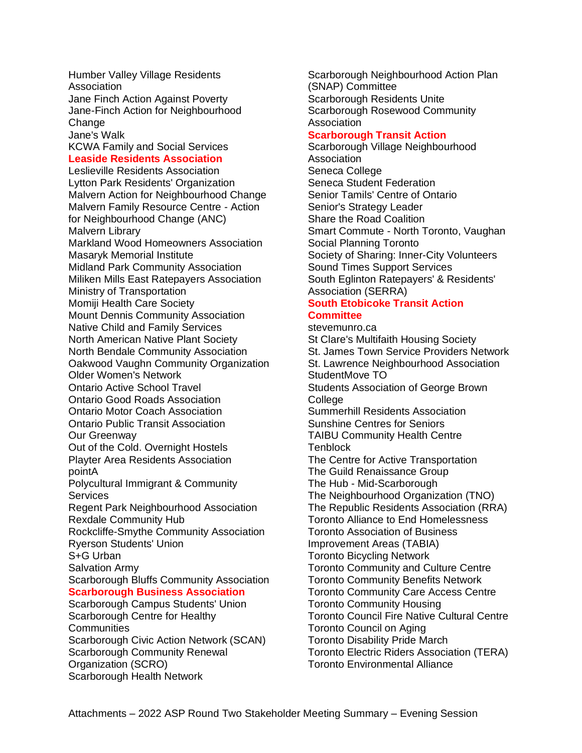Humber Valley Village Residents Association Jane Finch Action Against Poverty Jane-Finch Action for Neighbourhood Change Jane's Walk KCWA Family and Social Services

#### **Leaside Residents Association**

Leslieville Residents Association Lytton Park Residents' Organization Malvern Action for Neighbourhood Change Malvern Family Resource Centre - Action for Neighbourhood Change (ANC) Malvern Library Markland Wood Homeowners Association Masaryk Memorial Institute Midland Park Community Association Miliken Mills East Ratepayers Association Ministry of Transportation Momiji Health Care Society Mount Dennis Community Association Native Child and Family Services North American Native Plant Society North Bendale Community Association Oakwood Vaughn Community Organization Older Women's Network Ontario Active School Travel Ontario Good Roads Association Ontario Motor Coach Association Ontario Public Transit Association Our Greenway Out of the Cold. Overnight Hostels Playter Area Residents Association pointA Polycultural Immigrant & Community **Services** Regent Park Neighbourhood Association Rexdale Community Hub Rockcliffe-Smythe Community Association Ryerson Students' Union S+G Urban Salvation Army Scarborough Bluffs Community Association **Scarborough Business Association** Scarborough Campus Students' Union Scarborough Centre for Healthy **Communities** Scarborough Civic Action Network (SCAN) Scarborough Community Renewal Organization (SCRO) Scarborough Health Network

Scarborough Neighbourhood Action Plan (SNAP) Committee Scarborough Residents Unite Scarborough Rosewood Community Association

#### **Scarborough Transit Action**

Scarborough Village Neighbourhood Association Seneca College Seneca Student Federation Senior Tamils' Centre of Ontario Senior's Strategy Leader Share the Road Coalition Smart Commute - North Toronto, Vaughan Social Planning Toronto Society of Sharing: Inner-City Volunteers Sound Times Support Services South Eglinton Ratepayers' & Residents' Association (SERRA)

#### **South Etobicoke Transit Action Committee**

stevemunro.ca St Clare's Multifaith Housing Society St. James Town Service Providers Network St. Lawrence Neighbourhood Association StudentMove TO Students Association of George Brown **College** Summerhill Residents Association Sunshine Centres for Seniors TAIBU Community Health Centre **Tenblock** The Centre for Active Transportation The Guild Renaissance Group The Hub - Mid-Scarborough The Neighbourhood Organization (TNO) The Republic Residents Association (RRA) Toronto Alliance to End Homelessness Toronto Association of Business Improvement Areas (TABIA) Toronto Bicycling Network Toronto Community and Culture Centre Toronto Community Benefits Network Toronto Community Care Access Centre Toronto Community Housing Toronto Council Fire Native Cultural Centre Toronto Council on Aging Toronto Disability Pride March Toronto Electric Riders Association (TERA) Toronto Environmental Alliance